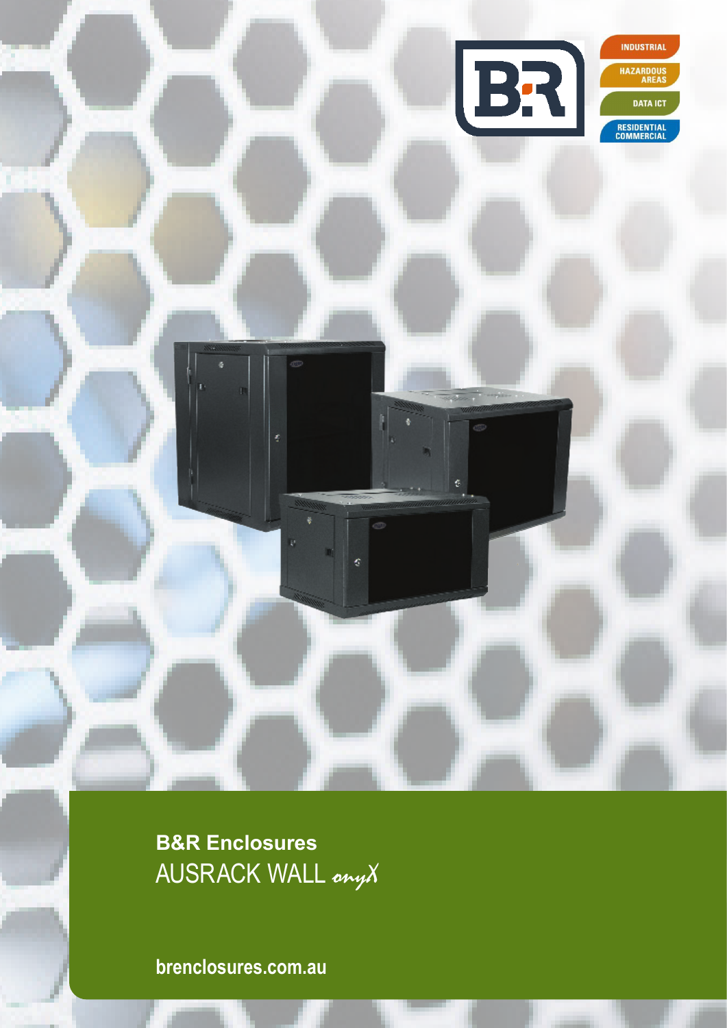

**B&R Enclosures** AUSRACK WALL onyX

**brenclosures.com.au**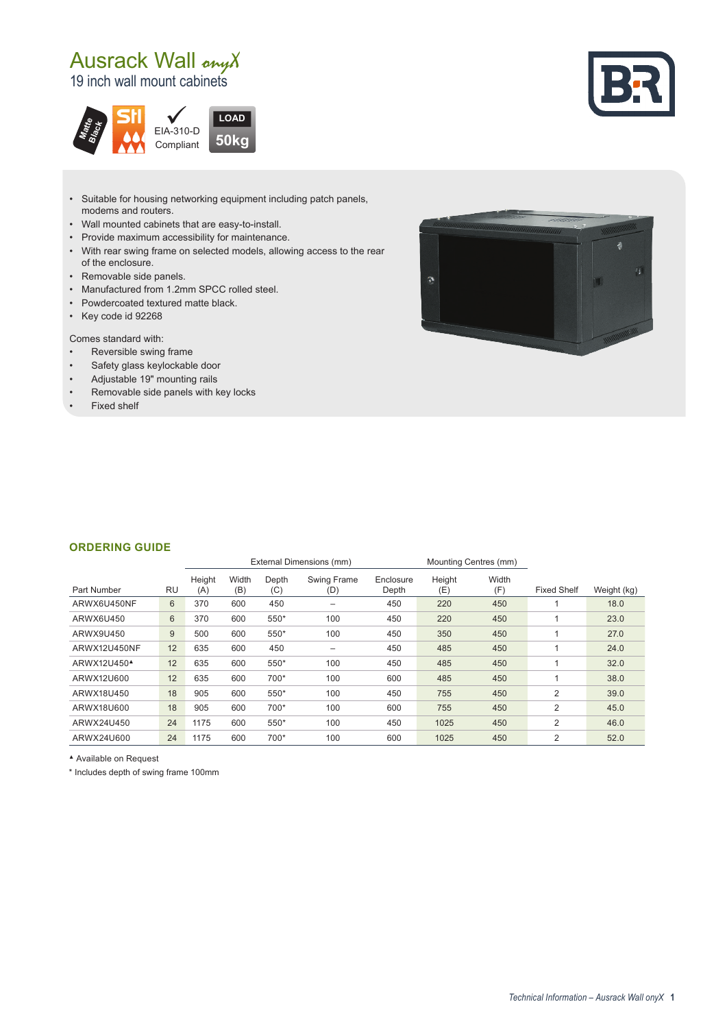# Ausrack Wall onyX

19 inch wall mount cabinets





- Suitable for housing networking equipment including patch panels, modems and routers.
- Wall mounted cabinets that are easy-to-install.
- Provide maximum accessibility for maintenance.
- With rear swing frame on selected models, allowing access to the rear of the enclosure.
- Removable side panels.
- Manufactured from 1.2mm SPCC rolled steel.
- Powdercoated textured matte black.
- Key code id 92268

Comes standard with:

- Reversible swing frame
- Safety glass keylockable door
- Adjustable 19" mounting rails
- Removable side panels with key locks
- Fixed shelf



#### **ORDERING GUIDE**

|                         |           | External Dimensions (mm) |              |              |                           | Mounting Centres (mm) |               |              |                    |             |
|-------------------------|-----------|--------------------------|--------------|--------------|---------------------------|-----------------------|---------------|--------------|--------------------|-------------|
| Part Number             | <b>RU</b> | Height<br>(A)            | Width<br>(B) | Depth<br>(C) | <b>Swing Frame</b><br>(D) | Enclosure<br>Depth    | Height<br>(E) | Width<br>(F) | <b>Fixed Shelf</b> | Weight (kg) |
| ARWX6U450NF             | 6         | 370                      | 600          | 450          | $\overline{\phantom{0}}$  | 450                   | 220           | 450          |                    | 18.0        |
| ARWX6U450               | 6         | 370                      | 600          | 550*         | 100                       | 450                   | 220           | 450          |                    | 23.0        |
| ARWX9U450               | 9         | 500                      | 600          | 550*         | 100                       | 450                   | 350           | 450          |                    | 27.0        |
| ARWX12U450NF            | 12        | 635                      | 600          | 450          | $\overline{\phantom{0}}$  | 450                   | 485           | 450          |                    | 24.0        |
| ARWX12U450 <sup>4</sup> | 12        | 635                      | 600          | 550*         | 100                       | 450                   | 485           | 450          |                    | 32.0        |
| ARWX12U600              | 12        | 635                      | 600          | 700*         | 100                       | 600                   | 485           | 450          |                    | 38.0        |
| ARWX18U450              | 18        | 905                      | 600          | 550*         | 100                       | 450                   | 755           | 450          | $\overline{2}$     | 39.0        |
| ARWX18U600              | 18        | 905                      | 600          | 700*         | 100                       | 600                   | 755           | 450          | $\overline{2}$     | 45.0        |
| ARWX24U450              | 24        | 1175                     | 600          | 550*         | 100                       | 450                   | 1025          | 450          | 2                  | 46.0        |
| ARWX24U600              | 24        | 1175                     | 600          | 700*         | 100                       | 600                   | 1025          | 450          | $\overline{2}$     | 52.0        |

▲ Available on Request

\* Includes depth of swing frame 100mm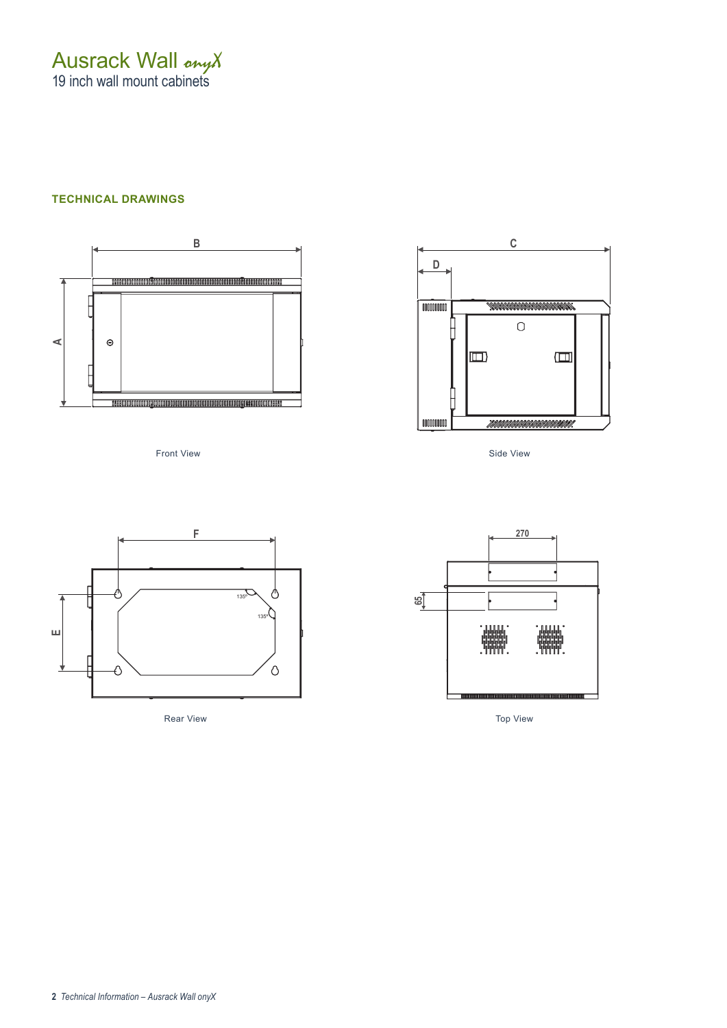Ausrack Wall onyX 19 inch wall mount cabinets

### **TECHNICAL DRAWINGS**



Front View



Rear View



Side View



Top View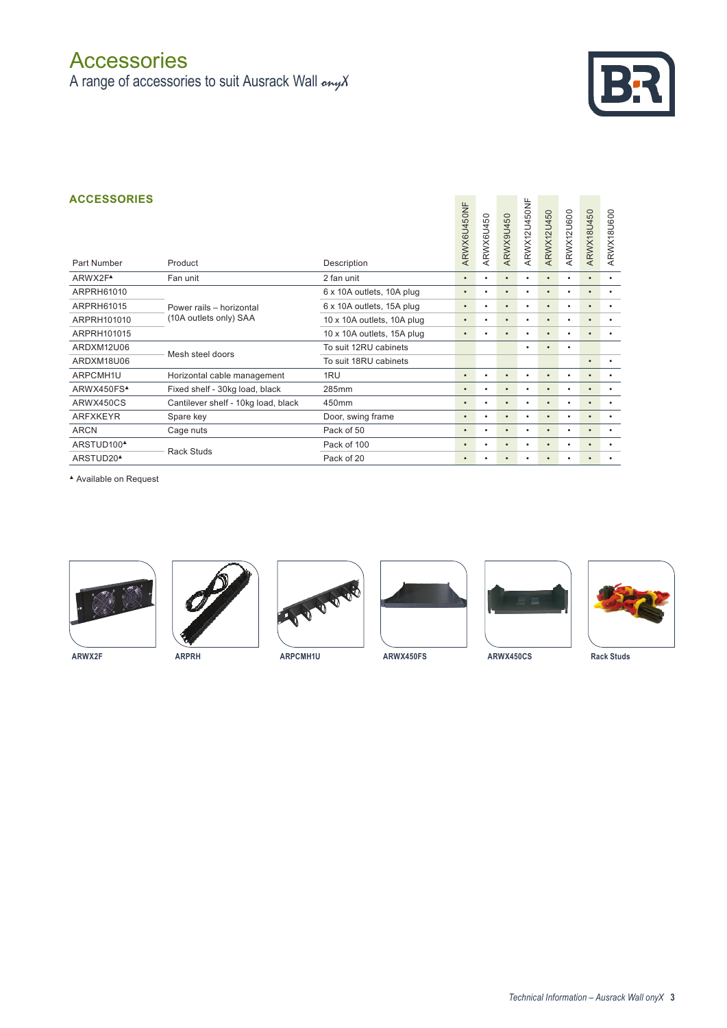## **Accessories**

A range of accessories to suit Ausrack Wall  $_{\text{env}}\chi$ 



#### **ACCESSORIES**

| <b>ACCESSORIES</b><br>Part Number |                                     |                            | ARWX6U450NF | ARWX6U450 | ARWX9U450 | ARWX12U450NF | ARWX12U450 | ARWX12U600 | ARWX18U450 | ARWX18U600 |
|-----------------------------------|-------------------------------------|----------------------------|-------------|-----------|-----------|--------------|------------|------------|------------|------------|
|                                   | Product                             | Description                |             |           |           |              |            |            |            |            |
| ARWX2F <sup>A</sup>               | Fan unit                            | 2 fan unit                 | $\bullet$   |           | ٠         | ٠            | ٠          | ٠          | $\bullet$  | ٠          |
| ARPRH61010                        |                                     | 6 x 10A outlets, 10A plug  |             |           | ٠         | $\bullet$    | $\bullet$  | ٠          |            | $\bullet$  |
| ARPRH61015                        | Power rails - horizontal            | 6 x 10A outlets, 15A plug  | $\bullet$   | ٠         | ٠         | $\bullet$    | $\bullet$  | ٠          | $\bullet$  | $\bullet$  |
| ARPRH101010                       | (10A outlets only) SAA              | 10 x 10A outlets, 10A plug | $\bullet$   | $\bullet$ | $\bullet$ | ٠            | ٠          | ٠          | $\bullet$  | $\bullet$  |
| ARPRH101015                       |                                     | 10 x 10A outlets, 15A plug | $\bullet$   | $\bullet$ | $\bullet$ | $\bullet$    | $\bullet$  | ٠          | $\bullet$  | $\bullet$  |
| ARDXM12U06                        | Mesh steel doors                    | To suit 12RU cabinets      |             |           |           | ٠            | ٠          | $\bullet$  |            |            |
| ARDXM18U06                        |                                     | To suit 18RU cabinets      |             |           |           |              |            |            | $\bullet$  | $\bullet$  |
| ARPCMH1U                          | Horizontal cable management         | 1RU                        | $\bullet$   | ٠         | $\bullet$ | $\bullet$    | $\bullet$  | ٠          | $\bullet$  | $\bullet$  |
| ARWX450FS <sup>A</sup>            | Fixed shelf - 30kg load, black      | 285mm                      | $\bullet$   | ٠         | $\bullet$ | $\bullet$    | ٠          | ٠          | $\bullet$  | $\bullet$  |
| ARWX450CS                         | Cantilever shelf - 10kg load, black | 450mm                      | $\bullet$   |           | ٠         | $\bullet$    | $\bullet$  | ٠          |            |            |
| <b>ARFXKEYR</b>                   | Spare key                           | Door, swing frame          | ٠           |           | $\bullet$ | $\bullet$    | ٠          |            |            |            |
| <b>ARCN</b>                       | Cage nuts                           | Pack of 50                 | ٠           | ٠         | ٠         | $\bullet$    | $\bullet$  | ٠          | $\bullet$  | $\bullet$  |
| ARSTUD100 <sup>4</sup>            | <b>Rack Studs</b>                   | Pack of 100                | $\bullet$   |           | $\bullet$ | $\bullet$    | $\bullet$  | ٠          | $\bullet$  |            |
| ARSTUD20 <sup>4</sup>             |                                     | Pack of 20                 | $\bullet$   |           | $\bullet$ | $\bullet$    | ٠          |            |            |            |

▲ Available on Request













**ARWX2F ARPRH ARPCMH1U ARWX450FS ARWX450CS Rack Studs**